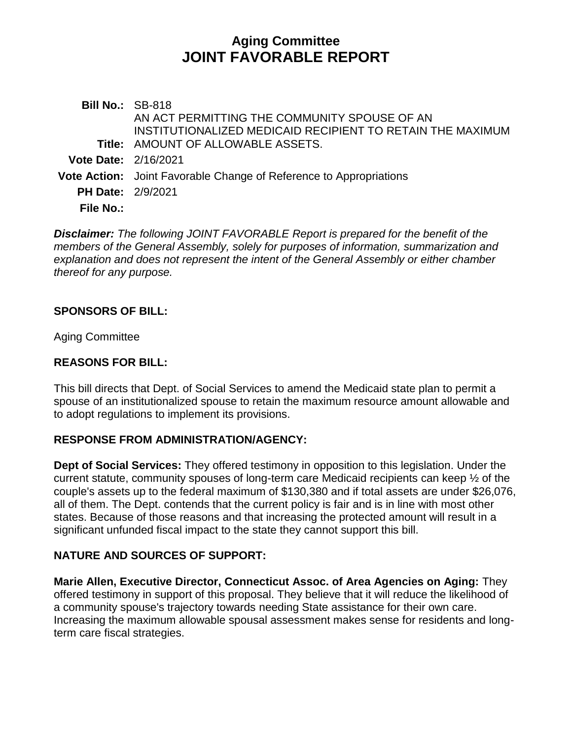# **Aging Committee JOINT FAVORABLE REPORT**

**Bill No.:** SB-818 **Title:** AMOUNT OF ALLOWABLE ASSETS. AN ACT PERMITTING THE COMMUNITY SPOUSE OF AN INSTITUTIONALIZED MEDICAID RECIPIENT TO RETAIN THE MAXIMUM **Vote Date:** 2/16/2021 **Vote Action:** Joint Favorable Change of Reference to Appropriations **PH Date:** 2/9/2021 **File No.:**

*Disclaimer: The following JOINT FAVORABLE Report is prepared for the benefit of the members of the General Assembly, solely for purposes of information, summarization and explanation and does not represent the intent of the General Assembly or either chamber thereof for any purpose.*

#### **SPONSORS OF BILL:**

Aging Committee

### **REASONS FOR BILL:**

This bill directs that Dept. of Social Services to amend the Medicaid state plan to permit a spouse of an institutionalized spouse to retain the maximum resource amount allowable and to adopt regulations to implement its provisions.

### **RESPONSE FROM ADMINISTRATION/AGENCY:**

**Dept of Social Services:** They offered testimony in opposition to this legislation. Under the current statute, community spouses of long-term care Medicaid recipients can keep ½ of the couple's assets up to the federal maximum of \$130,380 and if total assets are under \$26,076, all of them. The Dept. contends that the current policy is fair and is in line with most other states. Because of those reasons and that increasing the protected amount will result in a significant unfunded fiscal impact to the state they cannot support this bill.

## **NATURE AND SOURCES OF SUPPORT:**

**Marie Allen, Executive Director, Connecticut Assoc. of Area Agencies on Aging:** They offered testimony in support of this proposal. They believe that it will reduce the likelihood of a community spouse's trajectory towards needing State assistance for their own care. Increasing the maximum allowable spousal assessment makes sense for residents and longterm care fiscal strategies.